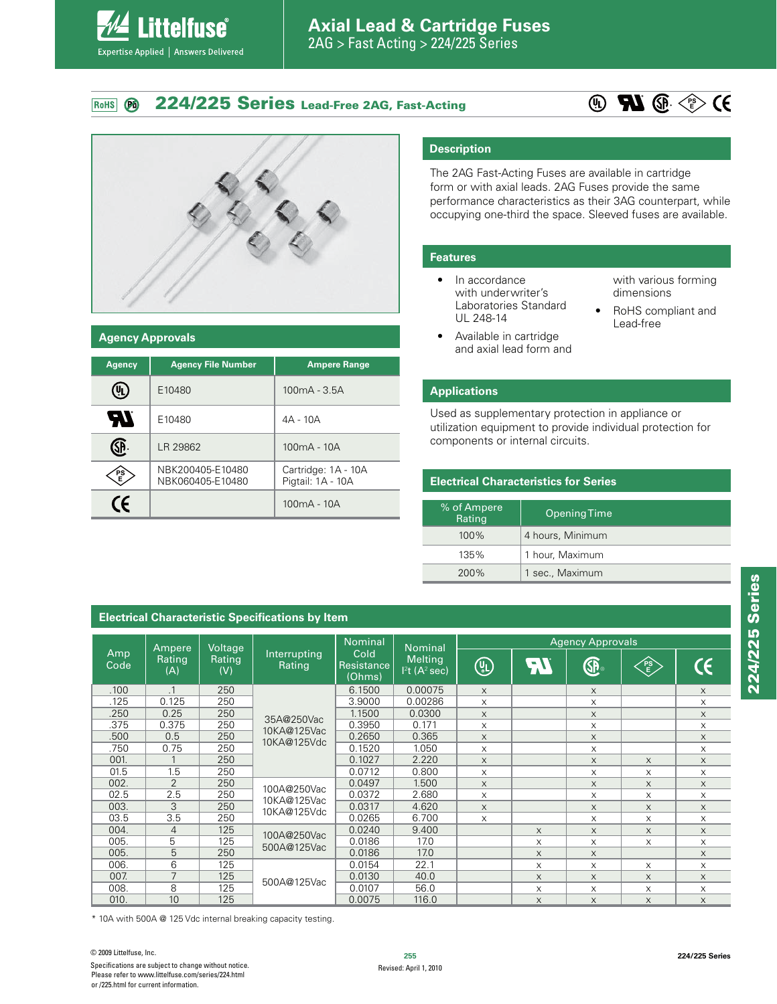#### **224/225 Series Lead-Free 2AG, Fast-Acting** RoHS **PO**





**ittelfuse**®

Expertise Applied | Answers Delivered

#### **Agency Approvals**

| <b>Agency</b>      | <b>Agency File Number</b>            | <b>Ampere Range</b>                      |  |  |
|--------------------|--------------------------------------|------------------------------------------|--|--|
|                    | E10480                               | $100mA - 3.5A$                           |  |  |
| $\boldsymbol{\mu}$ | E10480                               | 4A - 10A                                 |  |  |
|                    | LR 29862                             | $100mA - 10A$                            |  |  |
| PS                 | NBK200405-E10480<br>NBK060405-E10480 | Cartridge: 1A - 10A<br>Pigtail: 1A - 10A |  |  |
| CE                 |                                      | $100mA - 10A$                            |  |  |

#### **Description**

The 2AG Fast-Acting Fuses are available in cartridge form or with axial leads. 2AG Fuses provide the same performance characteristics as their 3AG counterpart, while occupying one-third the space. Sleeved fuses are available.

#### **Features**

- $\bullet$  In accordance with underwriter's Laboratories Standard UL 248-14
- Available in cartridge and axial lead form and

with various forming dimensions

• RoHS compliant and Lead-free

#### **Applications**

Used as supplementary protection in appliance or utilization equipment to provide individual protection for components or internal circuits.

#### **Electrical Characteristics for Series**

| % of Ampere<br>Rating | Opening Time     |
|-----------------------|------------------|
| $100\%$               | 4 hours, Minimum |
| 135%                  | 1 hour, Maximum  |
| 200%                  | 1 sec., Maximum  |

## **Electrical Characteristic Specifications by Item**

|                              |                | Voltage       |                            | <b>Nominal</b>                                                               | <b>Nominal</b>           | <b>Agency Approvals</b> |                                        |          |          |          |
|------------------------------|----------------|---------------|----------------------------|------------------------------------------------------------------------------|--------------------------|-------------------------|----------------------------------------|----------|----------|----------|
| Amp<br>Rating<br>Code<br>(A) | Ampere         | Rating<br>(V) | Interrupting<br>Rating     | Cold<br><b>Melting</b><br>Resistance<br>$12t$ (A <sup>2</sup> sec)<br>(Ohms) | $\textcircled{\tiny{L}}$ | <b>An</b>               | $\mathbb{G}_{\scriptscriptstyle\circ}$ | PS<br>E  | CE       |          |
| .100                         | $\cdot$ 1      | 250           |                            | 6.1500                                                                       | 0.00075                  | $\times$                |                                        | $\times$ |          | $\times$ |
| .125                         | 0.125          | 250           |                            | 3.9000                                                                       | 0.00286                  | $\times$                |                                        | $\times$ |          | $\times$ |
| .250                         | 0.25           | 250           |                            | 1.1500                                                                       | 0.0300                   | $\times$                |                                        | $\times$ |          | $\times$ |
| .375                         | 0.375          | 250           | 35A@250Vac                 | 0.3950                                                                       | 0.171                    | X                       |                                        | X        |          | X        |
| .500                         | 0.5            | 250           | 10KA@125Vac                | 0.2650                                                                       | 0.365                    | $\times$                |                                        | $\times$ |          | $\times$ |
| .750                         | 0.75           | 250           | 10KA@125Vdc                | 0.1520                                                                       | 1.050                    | X                       |                                        | X        |          | X        |
| 001.                         |                | 250           |                            | 0.1027                                                                       | 2.220                    | $\times$                |                                        | $\times$ | $\times$ | $\times$ |
| 01.5                         | 1.5            | 250           |                            | 0.0712                                                                       | 0.800                    | $\times$                |                                        | X.       | X        | $\times$ |
| 002.                         | $\overline{2}$ | 250           | 100A@250Vac                | 0.0497                                                                       | 1.500                    | $\times$                |                                        | $\times$ | $\times$ | $\times$ |
| 02.5                         | 2.5            | 250           |                            | 0.0372                                                                       | 2.680                    | X                       |                                        | X        | X        | X        |
| 003.                         | 3              | 250           | 10KA@125Vac<br>10KA@125Vdc | 0.0317                                                                       | 4.620                    | $\times$                |                                        | X        | $\times$ | $\times$ |
| 03.5                         | 3.5            | 250           |                            | 0.0265                                                                       | 6.700                    | $\mathsf X$             |                                        | X        | $\times$ | $\times$ |
| 004.                         | $\overline{4}$ | 125           | 100A@250Vac<br>500A@125Vac | 0.0240                                                                       | 9.400                    |                         | $\times$                               | X        | $\times$ | $\times$ |
| 005.                         | 5              | 125           |                            | 0.0186                                                                       | 17.0                     |                         | X                                      | $\times$ | X        | X        |
| 005.                         | 5              | 250           |                            | 0.0186                                                                       | 17.0                     |                         | X                                      | $\times$ |          | $\times$ |
| 006.                         | 6              | 125           |                            | 0.0154                                                                       | 22.1                     |                         | X                                      | X        | X        | $\times$ |
| 007.                         | $\overline{7}$ | 125           | 500A@125Vac                | 0.0130                                                                       | 40.0                     |                         | X                                      | $\times$ | X        | $\times$ |
| 008.                         | 8              | 125           |                            | 0.0107                                                                       | 56.0                     |                         | $\times$                               | $\times$ | X        | X        |
| 010.                         | 10             | 125           |                            | 0.0075                                                                       | 116.0                    |                         | $\times$                               | X        | X        | X        |

\* 10A with 500A @ 125 Vdc internal breaking capacity testing.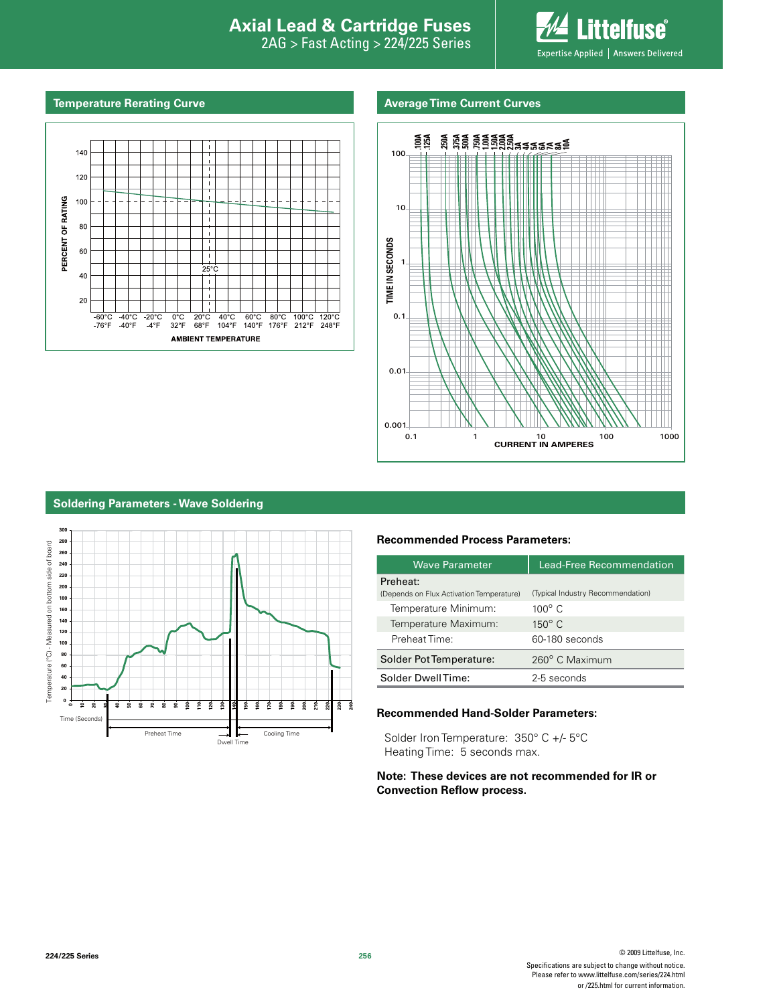# **Interproduction Interacts Axial Lead & Cartridge Fuses**

2AG > Fast Acting > 224/225 Series



#### **Temperature Rerating Curve Average Time Current Curves Average Time Current Curves**





#### **Soldering Parameters - Wave Soldering**



#### **Recommended Process Parameters:**

| <b>Wave Parameter</b>                                | Lead-Free Recommendation          |  |  |
|------------------------------------------------------|-----------------------------------|--|--|
| Preheat:<br>(Depends on Flux Activation Temperature) | (Typical Industry Recommendation) |  |  |
| Temperature Minimum:                                 | $100^\circ$ C                     |  |  |
| Temperature Maximum:                                 | $150^\circ$ C                     |  |  |
| Preheat Time:                                        | 60-180 seconds                    |  |  |
| Solder Pot Temperature:                              | 260° C Maximum                    |  |  |
| Solder DwellTime:                                    | 2-5 seconds                       |  |  |

#### **Recommended Hand-Solder Parameters:**

Solder Iron Temperature: 350° C +/- 5°C Heating Time: 5 seconds max.

#### **Note: These devices are not recommended for IR or Convection Reflow process.**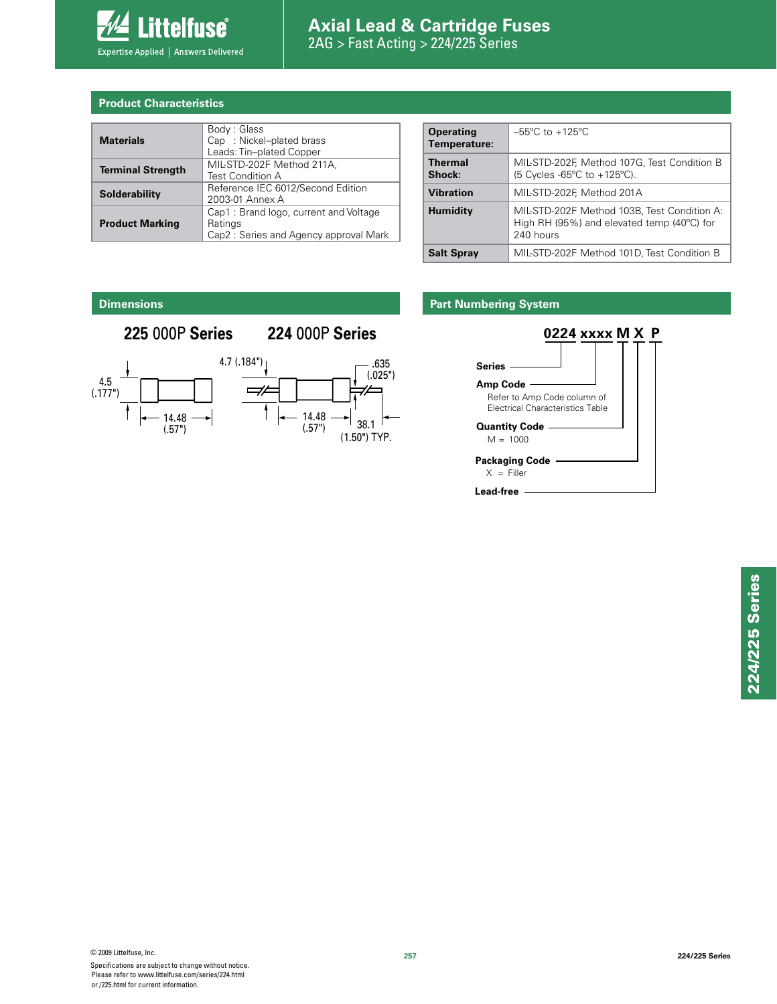

# **Axial Lead & Cartridge Fuses** 2AG > Fast Acting > 224/225 Series

#### **Product Characteristics**

| <b>Materials</b>         | Body: Glass<br>Cap : Nickel-plated brass<br>Leads: Tin-plated Copper                      |  |  |
|--------------------------|-------------------------------------------------------------------------------------------|--|--|
| <b>Terminal Strength</b> | MIL-STD-202F Method 211A,<br>Test Condition A                                             |  |  |
| Solderability            | Reference IEC 6012/Second Edition<br>2003-01 Annex A                                      |  |  |
| <b>Product Marking</b>   | Cap1: Brand logo, current and Voltage<br>Ratings<br>Cap2: Series and Agency approval Mark |  |  |

| <b>Operating</b><br>Temperature: | $-55^{\circ}$ C to $+125^{\circ}$ C                                                                               |
|----------------------------------|-------------------------------------------------------------------------------------------------------------------|
| <b>Thermal</b><br>Shock:         | MIL-STD-202F, Method 107G, Test Condition B<br>$(5$ Cycles -65°C to +125°C).                                      |
| <b>Vibration</b>                 | MIL-STD-202F, Method 201A                                                                                         |
| <b>Humidity</b>                  | MIL-STD-202F Method 103B, Test Condition A:<br>High RH (95%) and elevated temp (40 $^{\circ}$ C) for<br>240 hours |
| <b>Salt Spray</b>                | MIL-STD-202F Method 101D, Test Condition B                                                                        |
|                                  |                                                                                                                   |

#### **Dimensions**

# **225** 000P **Series 224** 000P **Series**



### **Part Numbering System**